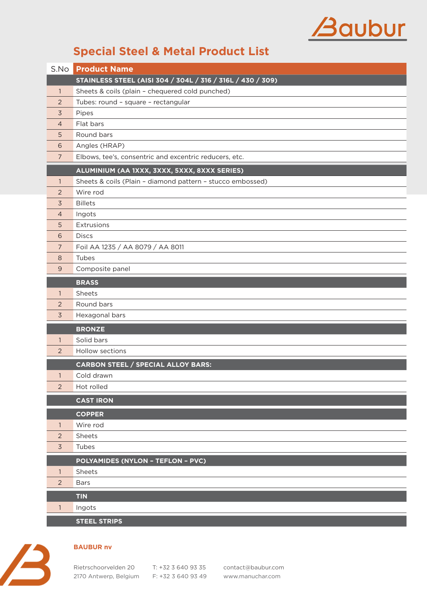## Baubur

## **Special Steel & Metal Product List**

|                | <b>S.No Product Name</b>                                   |
|----------------|------------------------------------------------------------|
|                | STAINLESS STEEL (AISI 304 / 304L / 316 / 316L / 430 / 309) |
| $\mathbf{1}$   | Sheets & coils (plain - chequered cold punched)            |
| 2              | Tubes: round - square - rectangular                        |
| $\overline{3}$ | Pipes                                                      |
| $\overline{4}$ | Flat bars                                                  |
| 5              | Round bars                                                 |
| 6              | Angles (HRAP)                                              |
| $\overline{7}$ | Elbows, tee's, consentric and excentric reducers, etc.     |
|                | ALUMINIUM (AA 1XXX, 3XXX, 5XXX, 8XXX SERIES)               |
| $\mathbf{1}$   | Sheets & coils (Plain - diamond pattern - stucco embossed) |
| 2              | Wire rod                                                   |
| $\overline{3}$ | <b>Billets</b>                                             |
| 4              | Ingots                                                     |
| 5              | Extrusions                                                 |
| 6              | <b>Discs</b>                                               |
| $\overline{7}$ | Foil AA 1235 / AA 8079 / AA 8011                           |
| 8              | Tubes                                                      |
| 9              | Composite panel                                            |
|                | <b>BRASS</b>                                               |
| $\mathbf{1}$   | Sheets                                                     |
| 2              | Round bars                                                 |
| $\overline{3}$ | Hexagonal bars                                             |
|                | <b>BRONZE</b>                                              |
| $\mathbf{1}$   | Solid bars                                                 |
| $\overline{2}$ | Hollow sections                                            |
|                | <b>CARBON STEEL / SPECIAL ALLOY BARS:</b>                  |
| $\mathbf{1}$   | Cold drawn                                                 |
| $\overline{2}$ | Hot rolled                                                 |
|                | <b>CAST IRON</b>                                           |
|                | <b>COPPER</b>                                              |
| $\mathbf{1}$   | Wire rod                                                   |
| $\overline{2}$ | Sheets                                                     |
| $\overline{3}$ | Tubes                                                      |
|                | <b>POLYAMIDES (NYLON - TEFLON - PVC)</b>                   |
| $\mathbf{1}$   | Sheets                                                     |
| 2              | <b>Bars</b>                                                |
|                | <b>TIN</b>                                                 |
| $\mathbf{1}$   | Ingots                                                     |
|                | <b>STEEL STRIPS</b>                                        |



## **BAUBUR nv**

2170 Antwerp, Belgium F: +32 3 640 93 49 www.manuchar.com